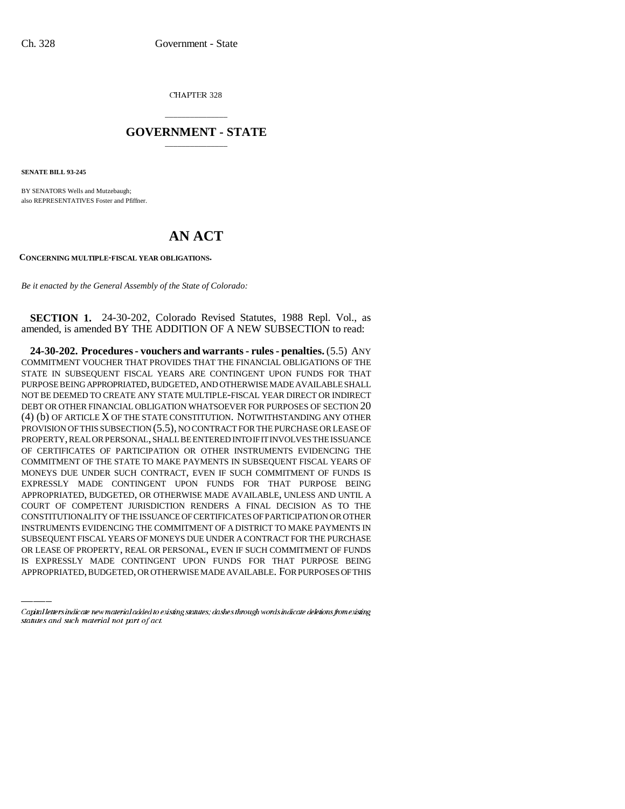CHAPTER 328

## \_\_\_\_\_\_\_\_\_\_\_\_\_\_\_ **GOVERNMENT - STATE** \_\_\_\_\_\_\_\_\_\_\_\_\_\_\_

**SENATE BILL 93-245**

BY SENATORS Wells and Mutzebaugh; also REPRESENTATIVES Foster and Pfiffner.

## **AN ACT**

**CONCERNING MULTIPLE-FISCAL YEAR OBLIGATIONS.**

*Be it enacted by the General Assembly of the State of Colorado:*

**SECTION 1.** 24-30-202, Colorado Revised Statutes, 1988 Repl. Vol., as amended, is amended BY THE ADDITION OF A NEW SUBSECTION to read:

INSTRUMENTS EVIDENCING THE COMMITMENT OF A DISTRICT TO MAKE PAYMENTS IN **24-30-202. Procedures - vouchers and warrants - rules - penalties.** (5.5) ANY COMMITMENT VOUCHER THAT PROVIDES THAT THE FINANCIAL OBLIGATIONS OF THE STATE IN SUBSEQUENT FISCAL YEARS ARE CONTINGENT UPON FUNDS FOR THAT PURPOSE BEING APPROPRIATED, BUDGETED, AND OTHERWISE MADE AVAILABLE SHALL NOT BE DEEMED TO CREATE ANY STATE MULTIPLE-FISCAL YEAR DIRECT OR INDIRECT DEBT OR OTHER FINANCIAL OBLIGATION WHATSOEVER FOR PURPOSES OF SECTION 20 (4) (b) OF ARTICLE X OF THE STATE CONSTITUTION. NOTWITHSTANDING ANY OTHER PROVISION OF THIS SUBSECTION (5.5), NO CONTRACT FOR THE PURCHASE OR LEASE OF PROPERTY, REAL OR PERSONAL, SHALL BE ENTERED INTO IF IT INVOLVES THE ISSUANCE OF CERTIFICATES OF PARTICIPATION OR OTHER INSTRUMENTS EVIDENCING THE COMMITMENT OF THE STATE TO MAKE PAYMENTS IN SUBSEQUENT FISCAL YEARS OF MONEYS DUE UNDER SUCH CONTRACT, EVEN IF SUCH COMMITMENT OF FUNDS IS EXPRESSLY MADE CONTINGENT UPON FUNDS FOR THAT PURPOSE BEING APPROPRIATED, BUDGETED, OR OTHERWISE MADE AVAILABLE, UNLESS AND UNTIL A COURT OF COMPETENT JURISDICTION RENDERS A FINAL DECISION AS TO THE CONSTITUTIONALITY OF THE ISSUANCE OF CERTIFICATES OF PARTICIPATION OR OTHER SUBSEQUENT FISCAL YEARS OF MONEYS DUE UNDER A CONTRACT FOR THE PURCHASE OR LEASE OF PROPERTY, REAL OR PERSONAL, EVEN IF SUCH COMMITMENT OF FUNDS IS EXPRESSLY MADE CONTINGENT UPON FUNDS FOR THAT PURPOSE BEING APPROPRIATED, BUDGETED, OR OTHERWISE MADE AVAILABLE. FOR PURPOSES OF THIS

Capital letters indicate new material added to existing statutes; dashes through words indicate deletions from existing statutes and such material not part of act.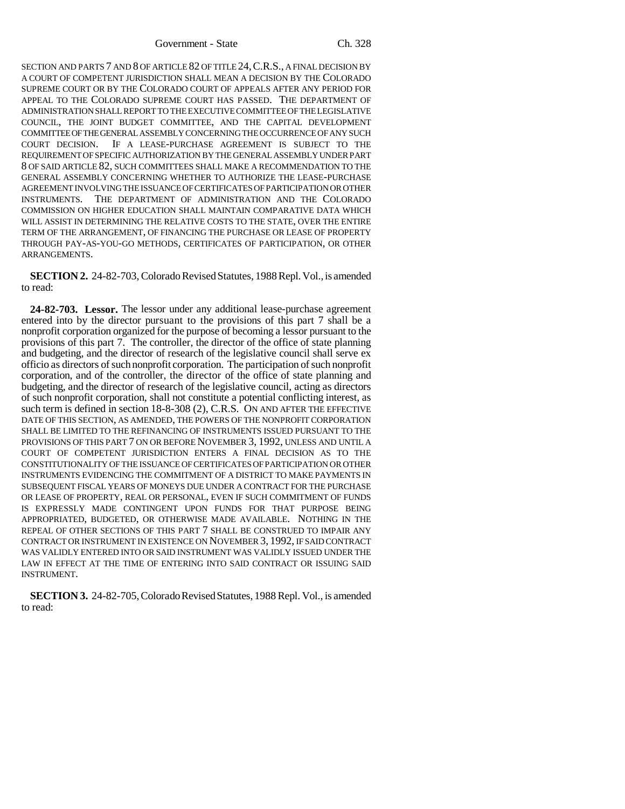Government - State Ch. 328

SECTION AND PARTS 7 AND 8 OF ARTICLE 82 OF TITLE 24,C.R.S., A FINAL DECISION BY A COURT OF COMPETENT JURISDICTION SHALL MEAN A DECISION BY THE COLORADO SUPREME COURT OR BY THE COLORADO COURT OF APPEALS AFTER ANY PERIOD FOR APPEAL TO THE COLORADO SUPREME COURT HAS PASSED. THE DEPARTMENT OF ADMINISTRATION SHALL REPORT TO THE EXECUTIVE COMMITTEE OF THE LEGISLATIVE COUNCIL, THE JOINT BUDGET COMMITTEE, AND THE CAPITAL DEVELOPMENT COMMITTEE OF THE GENERAL ASSEMBLY CONCERNING THE OCCURRENCE OF ANY SUCH COURT DECISION. IF A LEASE-PURCHASE AGREEMENT IS SUBJECT TO THE REQUIREMENT OF SPECIFIC AUTHORIZATION BY THE GENERAL ASSEMBLY UNDER PART 8 OF SAID ARTICLE 82, SUCH COMMITTEES SHALL MAKE A RECOMMENDATION TO THE GENERAL ASSEMBLY CONCERNING WHETHER TO AUTHORIZE THE LEASE-PURCHASE AGREEMENT INVOLVING THE ISSUANCE OF CERTIFICATES OF PARTICIPATION OR OTHER INSTRUMENTS. THE DEPARTMENT OF ADMINISTRATION AND THE COLORADO COMMISSION ON HIGHER EDUCATION SHALL MAINTAIN COMPARATIVE DATA WHICH WILL ASSIST IN DETERMINING THE RELATIVE COSTS TO THE STATE, OVER THE ENTIRE TERM OF THE ARRANGEMENT, OF FINANCING THE PURCHASE OR LEASE OF PROPERTY THROUGH PAY-AS-YOU-GO METHODS, CERTIFICATES OF PARTICIPATION, OR OTHER ARRANGEMENTS.

**SECTION 2.** 24-82-703, Colorado Revised Statutes, 1988 Repl. Vol., is amended to read:

**24-82-703. Lessor.** The lessor under any additional lease-purchase agreement entered into by the director pursuant to the provisions of this part 7 shall be a nonprofit corporation organized for the purpose of becoming a lessor pursuant to the provisions of this part 7. The controller, the director of the office of state planning and budgeting, and the director of research of the legislative council shall serve ex officio as directors of such nonprofit corporation. The participation of such nonprofit corporation, and of the controller, the director of the office of state planning and budgeting, and the director of research of the legislative council, acting as directors of such nonprofit corporation, shall not constitute a potential conflicting interest, as such term is defined in section 18-8-308 (2), C.R.S. ON AND AFTER THE EFFECTIVE DATE OF THIS SECTION, AS AMENDED, THE POWERS OF THE NONPROFIT CORPORATION SHALL BE LIMITED TO THE REFINANCING OF INSTRUMENTS ISSUED PURSUANT TO THE PROVISIONS OF THIS PART 7 ON OR BEFORE NOVEMBER 3, 1992, UNLESS AND UNTIL A COURT OF COMPETENT JURISDICTION ENTERS A FINAL DECISION AS TO THE CONSTITUTIONALITY OF THE ISSUANCE OF CERTIFICATES OF PARTICIPATION OR OTHER INSTRUMENTS EVIDENCING THE COMMITMENT OF A DISTRICT TO MAKE PAYMENTS IN SUBSEQUENT FISCAL YEARS OF MONEYS DUE UNDER A CONTRACT FOR THE PURCHASE OR LEASE OF PROPERTY, REAL OR PERSONAL, EVEN IF SUCH COMMITMENT OF FUNDS IS EXPRESSLY MADE CONTINGENT UPON FUNDS FOR THAT PURPOSE BEING APPROPRIATED, BUDGETED, OR OTHERWISE MADE AVAILABLE. NOTHING IN THE REPEAL OF OTHER SECTIONS OF THIS PART 7 SHALL BE CONSTRUED TO IMPAIR ANY CONTRACT OR INSTRUMENT IN EXISTENCE ON NOVEMBER 3, 1992, IF SAID CONTRACT WAS VALIDLY ENTERED INTO OR SAID INSTRUMENT WAS VALIDLY ISSUED UNDER THE LAW IN EFFECT AT THE TIME OF ENTERING INTO SAID CONTRACT OR ISSUING SAID INSTRUMENT.

**SECTION 3.** 24-82-705, Colorado Revised Statutes, 1988 Repl. Vol., is amended to read: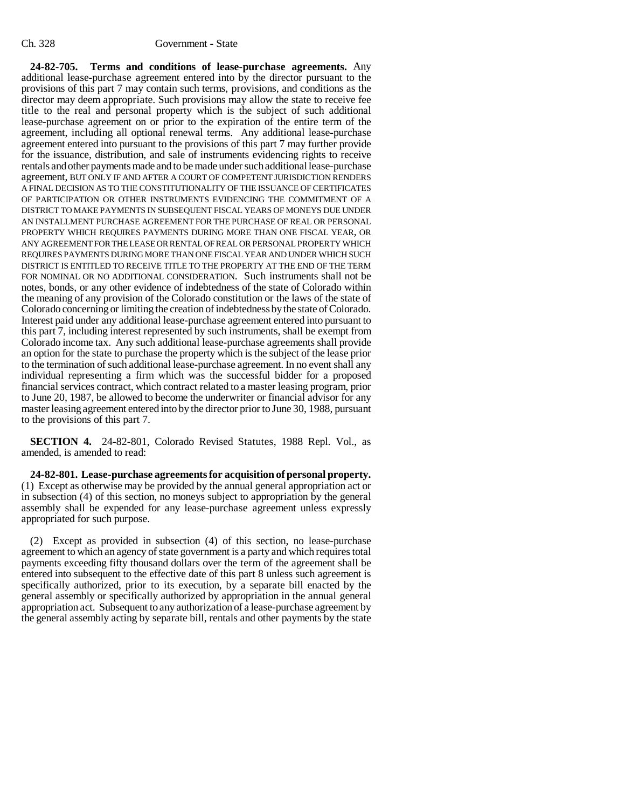**24-82-705. Terms and conditions of lease-purchase agreements.** Any additional lease-purchase agreement entered into by the director pursuant to the provisions of this part 7 may contain such terms, provisions, and conditions as the director may deem appropriate. Such provisions may allow the state to receive fee title to the real and personal property which is the subject of such additional lease-purchase agreement on or prior to the expiration of the entire term of the agreement, including all optional renewal terms. Any additional lease-purchase agreement entered into pursuant to the provisions of this part 7 may further provide for the issuance, distribution, and sale of instruments evidencing rights to receive rentals and other payments made and to be made under such additional lease-purchase agreement, BUT ONLY IF AND AFTER A COURT OF COMPETENT JURISDICTION RENDERS A FINAL DECISION AS TO THE CONSTITUTIONALITY OF THE ISSUANCE OF CERTIFICATES OF PARTICIPATION OR OTHER INSTRUMENTS EVIDENCING THE COMMITMENT OF A DISTRICT TO MAKE PAYMENTS IN SUBSEQUENT FISCAL YEARS OF MONEYS DUE UNDER AN INSTALLMENT PURCHASE AGREEMENT FOR THE PURCHASE OF REAL OR PERSONAL PROPERTY WHICH REQUIRES PAYMENTS DURING MORE THAN ONE FISCAL YEAR, OR ANY AGREEMENT FOR THE LEASE OR RENTAL OF REAL OR PERSONAL PROPERTY WHICH REQUIRES PAYMENTS DURING MORE THAN ONE FISCAL YEAR AND UNDER WHICH SUCH DISTRICT IS ENTITLED TO RECEIVE TITLE TO THE PROPERTY AT THE END OF THE TERM FOR NOMINAL OR NO ADDITIONAL CONSIDERATION. Such instruments shall not be notes, bonds, or any other evidence of indebtedness of the state of Colorado within the meaning of any provision of the Colorado constitution or the laws of the state of Colorado concerning or limiting the creation of indebtedness by the state of Colorado. Interest paid under any additional lease-purchase agreement entered into pursuant to this part 7, including interest represented by such instruments, shall be exempt from Colorado income tax. Any such additional lease-purchase agreements shall provide an option for the state to purchase the property which is the subject of the lease prior to the termination of such additional lease-purchase agreement. In no event shall any individual representing a firm which was the successful bidder for a proposed financial services contract, which contract related to a master leasing program, prior to June 20, 1987, be allowed to become the underwriter or financial advisor for any master leasing agreement entered into by the director prior to June 30, 1988, pursuant to the provisions of this part 7.

**SECTION 4.** 24-82-801, Colorado Revised Statutes, 1988 Repl. Vol., as amended, is amended to read:

**24-82-801. Lease-purchase agreements for acquisition of personal property.** (1) Except as otherwise may be provided by the annual general appropriation act or in subsection (4) of this section, no moneys subject to appropriation by the general assembly shall be expended for any lease-purchase agreement unless expressly appropriated for such purpose.

(2) Except as provided in subsection (4) of this section, no lease-purchase agreement to which an agency of state government is a party and which requires total payments exceeding fifty thousand dollars over the term of the agreement shall be entered into subsequent to the effective date of this part 8 unless such agreement is specifically authorized, prior to its execution, by a separate bill enacted by the general assembly or specifically authorized by appropriation in the annual general appropriation act. Subsequent to any authorization of a lease-purchase agreement by the general assembly acting by separate bill, rentals and other payments by the state